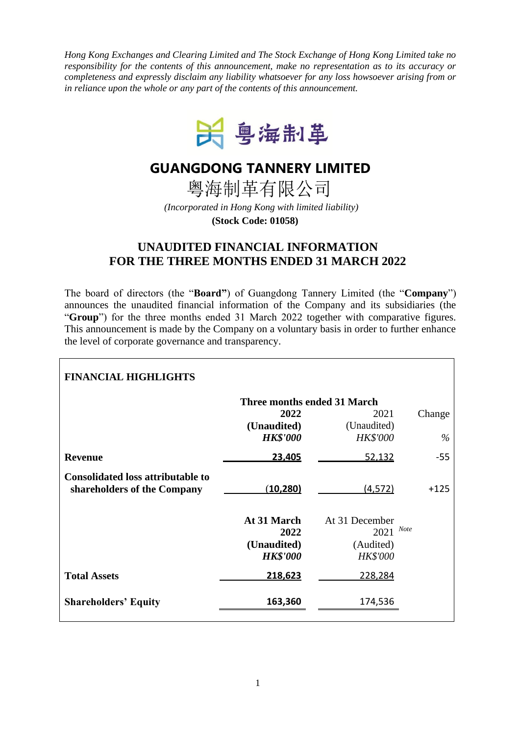*Hong Kong Exchanges and Clearing Limited and The Stock Exchange of Hong Kong Limited take no responsibility for the contents of this announcement, make no representation as to its accuracy or completeness and expressly disclaim any liability whatsoever for any loss howsoever arising from or in reliance upon the whole or any part of the contents of this announcement.*



## **GUANGDONG TANNERY LIMITED**

粤海制革有限公司

*(Incorporated in Hong Kong with limited liability)* **(Stock Code: 01058)**

## **UNAUDITED FINANCIAL INFORMATION FOR THE THREE MONTHS ENDED 31 MARCH 2022**

The board of directors (the "**Board"**) of Guangdong Tannery Limited (the "**Company**") announces the unaudited financial information of the Company and its subsidiaries (the "**Group**") for the three months ended 31 March 2022 together with comparative figures. This announcement is made by the Company on a voluntary basis in order to further enhance the level of corporate governance and transparency.

| <b>FINANCIAL HIGHLIGHTS</b>                                             |                                                       |                                                               |        |
|-------------------------------------------------------------------------|-------------------------------------------------------|---------------------------------------------------------------|--------|
|                                                                         | Three months ended 31 March                           |                                                               |        |
|                                                                         | 2022                                                  | 2021                                                          | Change |
|                                                                         | (Unaudited)<br><b>HK\$'000</b>                        | (Unaudited)<br><b>HK\$'000</b>                                | $\%$   |
| <b>Revenue</b>                                                          | 23,405                                                | 52,132                                                        | -55    |
| <b>Consolidated loss attributable to</b><br>shareholders of the Company | (10, 280)                                             | (4,572)                                                       | $+125$ |
|                                                                         | At 31 March<br>2022<br>(Unaudited)<br><b>HK\$'000</b> | At 31 December<br>$2021$ Note<br>(Audited)<br><b>HK\$'000</b> |        |
| <b>Total Assets</b>                                                     | 218,623                                               | 228,284                                                       |        |
| <b>Shareholders' Equity</b>                                             | 163,360                                               | 174,536                                                       |        |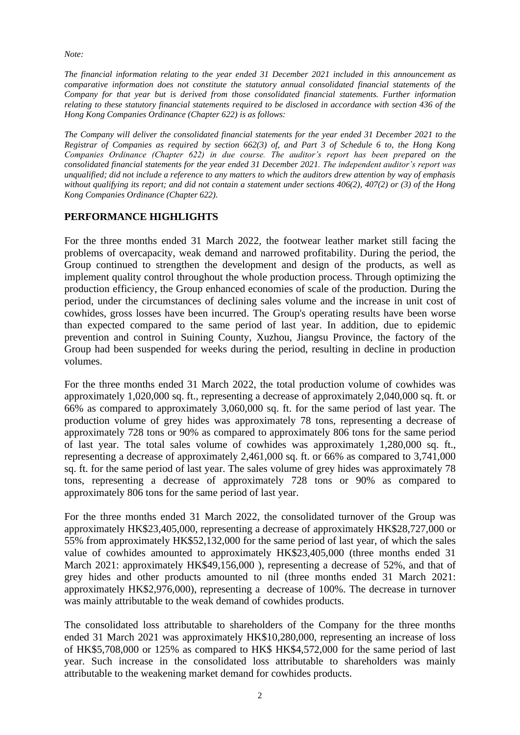*Note:*

*The financial information relating to the year ended 31 December 2021 included in this announcement as comparative information does not constitute the statutory annual consolidated financial statements of the Company for that year but is derived from those consolidated financial statements. Further information relating to these statutory financial statements required to be disclosed in accordance with section 436 of the Hong Kong Companies Ordinance (Chapter 622) is as follows:*

*The Company will deliver the consolidated financial statements for the year ended 31 December 2021 to the Registrar of Companies as required by section 662(3) of, and Part 3 of Schedule 6 to, the Hong Kong Companies Ordinance (Chapter 622) in due course. The auditor's report has been prepared on the consolidated financial statements for the year ended 31 December 2021. The independent auditor's report was unqualified; did not include a reference to any matters to which the auditors drew attention by way of emphasis without qualifying its report; and did not contain a statement under sections 406(2), 407(2) or (3) of the Hong Kong Companies Ordinance (Chapter 622).*

## **PERFORMANCE HIGHLIGHTS**

For the three months ended 31 March 2022, the footwear leather market still facing the problems of overcapacity, weak demand and narrowed profitability. During the period, the Group continued to strengthen the development and design of the products, as well as implement quality control throughout the whole production process. Through optimizing the production efficiency, the Group enhanced economies of scale of the production. During the period, under the circumstances of declining sales volume and the increase in unit cost of cowhides, gross losses have been incurred. The Group's operating results have been worse than expected compared to the same period of last year. In addition, due to epidemic prevention and control in Suining County, Xuzhou, Jiangsu Province, the factory of the Group had been suspended for weeks during the period, resulting in decline in production volumes.

For the three months ended 31 March 2022, the total production volume of cowhides was approximately 1,020,000 sq. ft., representing a decrease of approximately 2,040,000 sq. ft. or 66% as compared to approximately 3,060,000 sq. ft. for the same period of last year. The production volume of grey hides was approximately 78 tons, representing a decrease of approximately 728 tons or 90% as compared to approximately 806 tons for the same period of last year. The total sales volume of cowhides was approximately 1,280,000 sq. ft., representing a decrease of approximately 2,461,000 sq. ft. or 66% as compared to 3,741,000 sq. ft. for the same period of last year. The sales volume of grey hides was approximately 78 tons, representing a decrease of approximately 728 tons or 90% as compared to approximately 806 tons for the same period of last year.

For the three months ended 31 March 2022, the consolidated turnover of the Group was approximately HK\$23,405,000, representing a decrease of approximately HK\$28,727,000 or 55% from approximately HK\$52,132,000 for the same period of last year, of which the sales value of cowhides amounted to approximately HK\$23,405,000 (three months ended 31 March 2021: approximately HK\$49,156,000 ), representing a decrease of 52%, and that of grey hides and other products amounted to nil (three months ended 31 March 2021: approximately HK\$2,976,000), representing a decrease of 100%. The decrease in turnover was mainly attributable to the weak demand of cowhides products.

The consolidated loss attributable to shareholders of the Company for the three months ended 31 March 2021 was approximately HK\$10,280,000, representing an increase of loss of HK\$5,708,000 or 125% as compared to HK\$ HK\$4,572,000 for the same period of last year. Such increase in the consolidated loss attributable to shareholders was mainly attributable to the weakening market demand for cowhides products.